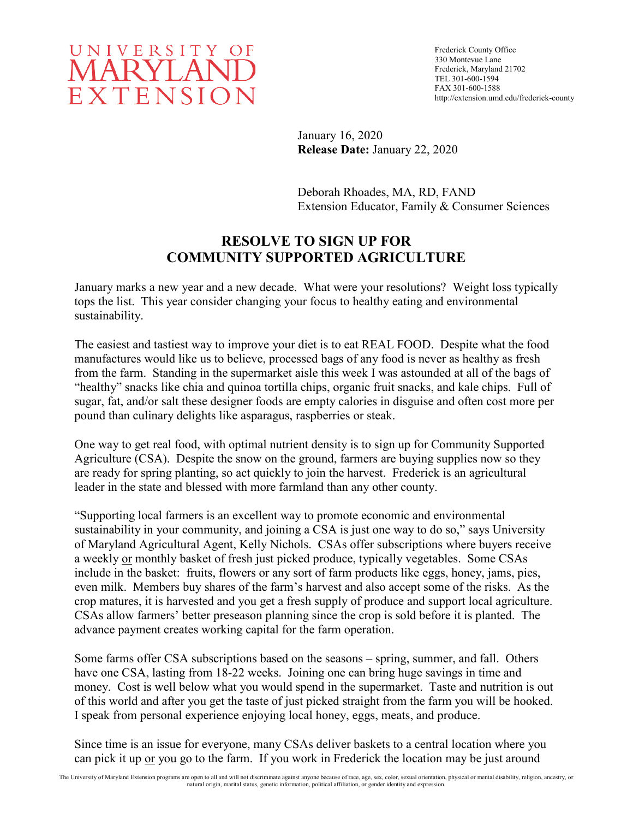

Frederick County Office 330 Montevue Lane Frederick, Maryland 21702 TEL 301-600-1594 FAX 301-600-1588 http://extension.umd.edu/frederick-county

January 16, 2020 **Release Date:** January 22, 2020

Deborah Rhoades, MA, RD, FAND Extension Educator, Family & Consumer Sciences

## **RESOLVE TO SIGN UP FOR COMMUNITY SUPPORTED AGRICULTURE**

January marks a new year and a new decade. What were your resolutions? Weight loss typically tops the list. This year consider changing your focus to healthy eating and environmental sustainability.

The easiest and tastiest way to improve your diet is to eat REAL FOOD. Despite what the food manufactures would like us to believe, processed bags of any food is never as healthy as fresh from the farm. Standing in the supermarket aisle this week I was astounded at all of the bags of "healthy" snacks like chia and quinoa tortilla chips, organic fruit snacks, and kale chips. Full of sugar, fat, and/or salt these designer foods are empty calories in disguise and often cost more per pound than culinary delights like asparagus, raspberries or steak.

One way to get real food, with optimal nutrient density is to sign up for Community Supported Agriculture (CSA). Despite the snow on the ground, farmers are buying supplies now so they are ready for spring planting, so act quickly to join the harvest. Frederick is an agricultural leader in the state and blessed with more farmland than any other county.

"Supporting local farmers is an excellent way to promote economic and environmental sustainability in your community, and joining a CSA is just one way to do so," says University of Maryland Agricultural Agent, Kelly Nichols. CSAs offer subscriptions where buyers receive a weekly or monthly basket of fresh just picked produce, typically vegetables. Some CSAs include in the basket: fruits, flowers or any sort of farm products like eggs, honey, jams, pies, even milk. Members buy shares of the farm's harvest and also accept some of the risks. As the crop matures, it is harvested and you get a fresh supply of produce and support local agriculture. CSAs allow farmers' better preseason planning since the crop is sold before it is planted. The advance payment creates working capital for the farm operation.

Some farms offer CSA subscriptions based on the seasons – spring, summer, and fall. Others have one CSA, lasting from 18-22 weeks. Joining one can bring huge savings in time and money. Cost is well below what you would spend in the supermarket. Taste and nutrition is out of this world and after you get the taste of just picked straight from the farm you will be hooked. I speak from personal experience enjoying local honey, eggs, meats, and produce.

Since time is an issue for everyone, many CSAs deliver baskets to a central location where you can pick it up or you go to the farm. If you work in Frederick the location may be just around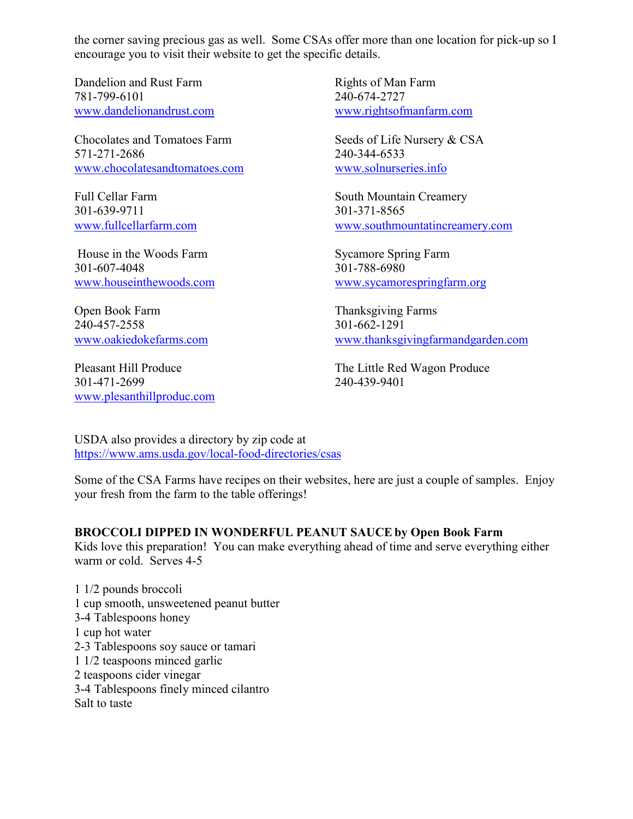the corner saving precious gas as well. Some CSAs offer more than one location for pick-up so I encourage you to visit their website to get the specific details.

Dandelion and Rust Farm 781-799-6101 [www.dandelionandrust.com](http://www.dandelionandrust.com/)

Chocolates and Tomatoes Farm 571-271-2686 [www.chocolatesandtomatoes.com](http://www.chocolatesandtomatoes.com/)

Full Cellar Farm 301-639-9711 [www.fullcellarfarm.com](http://www.fullcellarfarm.com/)

House in the Woods Farm 301-607-4048 [www.houseinthewoods.com](http://www.houseinthewoods.com/)

Open Book Farm 240-457-2558 [www.oakiedokefarms.com](http://www.oakiedokefarms.com/)

Pleasant Hill Produce 301-471-2699 [www.plesanthillproduc.com](http://www.plesanthillproduc.com/) Rights of Man Farm 240-674-2727 [www.rightsofmanfarm.com](http://www.rightsofmanfarm.com/)

Seeds of Life Nursery & CSA 240-344-6533 [www.solnurseries.info](http://www.solnurseries.info/)

South Mountain Creamery 301-371-8565 [www.southmountatincreamery.com](http://www.southmountatincreamery.com/)

Sycamore Spring Farm 301-788-6980 [www.sycamorespringfarm.org](http://www.sycamorespringfarm.org/)

Thanksgiving Farms 301-662-1291 [www.thanksgivingfarmandgarden.com](http://www.thanksgivingfarmandgarden.com/)

The Little Red Wagon Produce 240-439-9401

USDA also provides a directory by zip code at <https://www.ams.usda.gov/local-food-directories/csas>

Some of the CSA Farms have recipes on their websites, here are just a couple of samples. Enjoy your fresh from the farm to the table offerings!

## **BROCCOLI DIPPED IN WONDERFUL PEANUT SAUCE by Open Book Farm**

Kids love this preparation! You can make everything ahead of time and serve everything either warm or cold. Serves 4-5

1 1/2 pounds broccoli 1 cup smooth, unsweetened peanut butter 3-4 Tablespoons honey 1 cup hot water 2-3 Tablespoons soy sauce or tamari 1 1/2 teaspoons minced garlic 2 teaspoons cider vinegar 3-4 Tablespoons finely minced cilantro Salt to taste